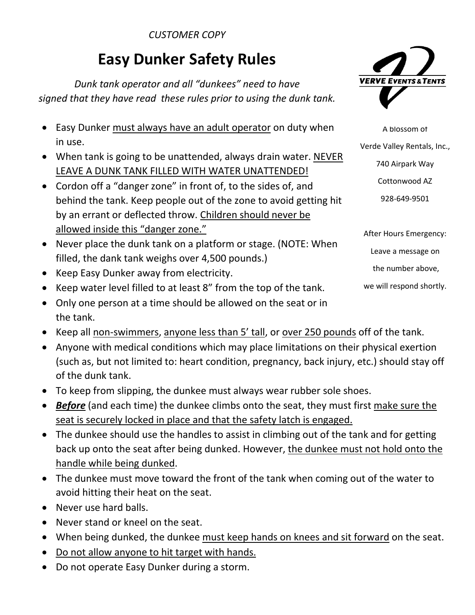### *CUSTOMER COPY*

# Easy Dunker Safety Rules

*Dunk tank operator and all "dunkees" need to have signed that they have read these rules prior to using the dunk tank.*



- When tank is going to be unattended, always drain water. NEVER LEAVE A DUNK TANK FILLED WITH WATER UNATTENDED!
- Cordon off a "danger zone" in front of, to the sides of, and behind the tank. Keep people out of the zone to avoid getting hit by an errant or deflected throw. Children should never be allowed inside this "danger zone."
- Never place the dunk tank on a platform or stage. (NOTE: When filled, the dank tank weighs over 4,500 pounds.)
- Keep Easy Dunker away from electricity.
- Keep water level filled to at least 8" from the top of the tank.
- Only one person at a time should be allowed on the seat or in the tank.
- Keep all non-swimmers, anyone less than 5' tall, or over 250 pounds off of the tank.
- Anyone with medical conditions which may place limitations on their physical exertion (such as, but not limited to: heart condition, pregnancy, back injury, etc.) should stay off of the dunk tank.
- To keep from slipping, the dunkee must always wear rubber sole shoes.
- *Before* (and each time) the dunkee climbs onto the seat, they must first make sure the seat is securely locked in place and that the safety latch is engaged.
- The dunkee should use the handles to assist in climbing out of the tank and for getting back up onto the seat after being dunked. However, the dunkee must not hold onto the handle while being dunked.
- The dunkee must move toward the front of the tank when coming out of the water to avoid hitting their heat on the seat.
- Never use hard balls.
- Never stand or kneel on the seat.
- When being dunked, the dunkee must keep hands on knees and sit forward on the seat.
- Do not allow anyone to hit target with hands.
- Do not operate Easy Dunker during a storm.



A blossom of Verde Valley Rentals, Inc., 740 Airpark Way Cottonwood AZ 928-649-9501

After Hours Emergency: Leave a message on the number above, we will respond shortly.